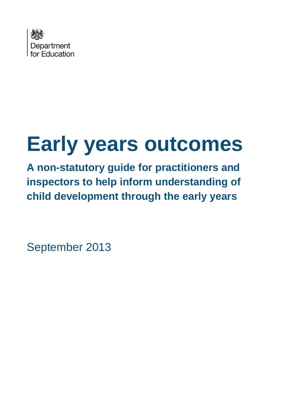

# **Early years outcomes**

**A non-statutory guide for practitioners and inspectors to help inform understanding of child development through the early years**

September 2013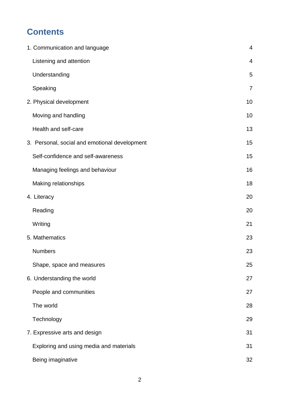# **Contents**

| 1. Communication and language                 | 4              |
|-----------------------------------------------|----------------|
| Listening and attention                       | 4              |
| Understanding                                 | 5              |
| Speaking                                      | $\overline{7}$ |
| 2. Physical development                       | 10             |
| Moving and handling                           | 10             |
| Health and self-care                          | 13             |
| 3. Personal, social and emotional development | 15             |
| Self-confidence and self-awareness            | 15             |
| Managing feelings and behaviour               | 16             |
| Making relationships                          | 18             |
| 4. Literacy                                   | 20             |
| Reading                                       | 20             |
| Writing                                       | 21             |
| 5. Mathematics                                | 23             |
| <b>Numbers</b>                                | 23             |
| Shape, space and measures                     | 25             |
| 6. Understanding the world                    | 27             |
| People and communities                        | 27             |
| The world                                     | 28             |
| Technology                                    | 29             |
| 7. Expressive arts and design                 | 31             |
| Exploring and using media and materials       | 31             |
| Being imaginative                             | 32             |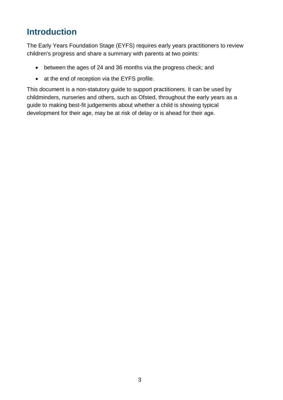# **Introduction**

The Early Years Foundation Stage (EYFS) requires early years practitioners to review children's progress and share a summary with parents at two points:

- between the ages of 24 and 36 months via the progress check; and
- at the end of reception via the EYFS profile.

This document is a non-statutory guide to support practitioners. It can be used by childminders, nurseries and others, such as Ofsted, throughout the early years as a guide to making best-fit judgements about whether a child is showing typical development for their age, may be at risk of delay or is ahead for their age.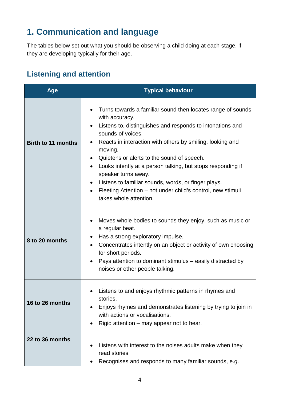# <span id="page-3-0"></span>**1. Communication and language**

The tables below set out what you should be observing a child doing at each stage, if they are developing typically for their age.

# <span id="page-3-1"></span>**Listening and attention**

| <b>Age</b>         | <b>Typical behaviour</b>                                                                                                                                                                                                                                                                                                                                                                                                                                                                                                                                |
|--------------------|---------------------------------------------------------------------------------------------------------------------------------------------------------------------------------------------------------------------------------------------------------------------------------------------------------------------------------------------------------------------------------------------------------------------------------------------------------------------------------------------------------------------------------------------------------|
| Birth to 11 months | Turns towards a familiar sound then locates range of sounds<br>$\bullet$<br>with accuracy.<br>Listens to, distinguishes and responds to intonations and<br>sounds of voices.<br>Reacts in interaction with others by smiling, looking and<br>moving.<br>Quietens or alerts to the sound of speech.<br>$\bullet$<br>Looks intently at a person talking, but stops responding if<br>speaker turns away.<br>• Listens to familiar sounds, words, or finger plays.<br>Fleeting Attention - not under child's control, new stimuli<br>takes whole attention. |
| 8 to 20 months     | Moves whole bodies to sounds they enjoy, such as music or<br>a regular beat.<br>Has a strong exploratory impulse.<br>Concentrates intently on an object or activity of own choosing<br>$\bullet$<br>for short periods.<br>Pays attention to dominant stimulus – easily distracted by<br>noises or other people talking.                                                                                                                                                                                                                                 |
| 16 to 26 months    | Listens to and enjoys rhythmic patterns in rhymes and<br>stories.<br>Enjoys rhymes and demonstrates listening by trying to join in<br>with actions or vocalisations.<br>Rigid attention – may appear not to hear.                                                                                                                                                                                                                                                                                                                                       |
| 22 to 36 months    | Listens with interest to the noises adults make when they<br>read stories.<br>Recognises and responds to many familiar sounds, e.g.                                                                                                                                                                                                                                                                                                                                                                                                                     |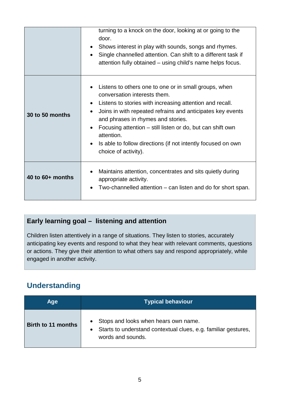|                      | turning to a knock on the door, looking at or going to the<br>door.<br>Shows interest in play with sounds, songs and rhymes.<br>$\bullet$<br>Single channelled attention. Can shift to a different task if<br>attention fully obtained – using child's name helps focus.                                                                                                                                                                                                      |
|----------------------|-------------------------------------------------------------------------------------------------------------------------------------------------------------------------------------------------------------------------------------------------------------------------------------------------------------------------------------------------------------------------------------------------------------------------------------------------------------------------------|
| 30 to 50 months      | Listens to others one to one or in small groups, when<br>$\bullet$<br>conversation interests them.<br>Listens to stories with increasing attention and recall.<br>$\bullet$<br>Joins in with repeated refrains and anticipates key events<br>$\bullet$<br>and phrases in rhymes and stories.<br>Focusing attention – still listen or do, but can shift own<br>attention.<br>Is able to follow directions (if not intently focused on own<br>$\bullet$<br>choice of activity). |
| $40$ to $60+$ months | Maintains attention, concentrates and sits quietly during<br>appropriate activity.<br>Two-channelled attention – can listen and do for short span.                                                                                                                                                                                                                                                                                                                            |

#### **Early learning goal – listening and attention**

Children listen attentively in a range of situations. They listen to stories, accurately anticipating key events and respond to what they hear with relevant comments, questions or actions. They give their attention to what others say and respond appropriately, while engaged in another activity.

# <span id="page-4-0"></span>**Understanding**

| Age                | <b>Typical behaviour</b>                                                                                                        |
|--------------------|---------------------------------------------------------------------------------------------------------------------------------|
| Birth to 11 months | • Stops and looks when hears own name.<br>• Starts to understand contextual clues, e.g. familiar gestures,<br>words and sounds. |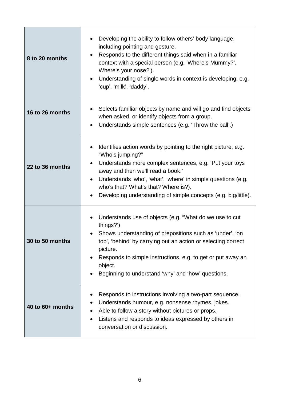| 8 to 20 months   | Developing the ability to follow others' body language,<br>including pointing and gesture.<br>Responds to the different things said when in a familiar<br>$\bullet$<br>context with a special person (e.g. 'Where's Mummy?',<br>Where's your nose?').<br>Understanding of single words in context is developing, e.g.<br>$\bullet$<br>'cup', 'milk', 'daddy'.                           |
|------------------|-----------------------------------------------------------------------------------------------------------------------------------------------------------------------------------------------------------------------------------------------------------------------------------------------------------------------------------------------------------------------------------------|
| 16 to 26 months  | Selects familiar objects by name and will go and find objects<br>$\bullet$<br>when asked, or identify objects from a group.<br>Understands simple sentences (e.g. 'Throw the ball'.)                                                                                                                                                                                                    |
| 22 to 36 months  | Identifies action words by pointing to the right picture, e.g.<br>"Who's jumping?"<br>Understands more complex sentences, e.g. 'Put your toys'<br>$\bullet$<br>away and then we'll read a book.'<br>Understands 'who', 'what', 'where' in simple questions (e.g.<br>$\bullet$<br>who's that? What's that? Where is?).<br>Developing understanding of simple concepts (e.g. big/little). |
| 30 to 50 months  | Understands use of objects (e.g. "What do we use to cut<br>$\bullet$<br>things?')<br>Shows understanding of prepositions such as 'under', 'on<br>top', 'behind' by carrying out an action or selecting correct<br>picture.<br>Responds to simple instructions, e.g. to get or put away an<br>object.<br>Beginning to understand 'why' and 'how' questions.                              |
| 40 to 60+ months | Responds to instructions involving a two-part sequence.<br>٠<br>Understands humour, e.g. nonsense rhymes, jokes.<br>٠<br>Able to follow a story without pictures or props.<br>$\bullet$<br>Listens and responds to ideas expressed by others in<br>$\bullet$<br>conversation or discussion.                                                                                             |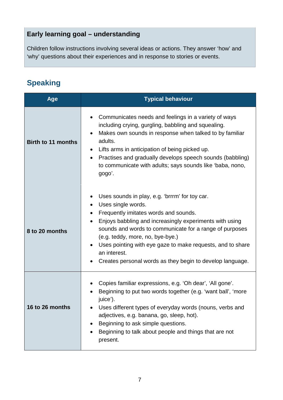## **Early learning goal – understanding**

Children follow instructions involving several ideas or actions. They answer 'how' and 'why' questions about their experiences and in response to stories or events.

# <span id="page-6-0"></span>**Speaking**

| Age                       | <b>Typical behaviour</b>                                                                                                                                                                                                                                                                                                                                                                                                |
|---------------------------|-------------------------------------------------------------------------------------------------------------------------------------------------------------------------------------------------------------------------------------------------------------------------------------------------------------------------------------------------------------------------------------------------------------------------|
| <b>Birth to 11 months</b> | Communicates needs and feelings in a variety of ways<br>including crying, gurgling, babbling and squealing.<br>Makes own sounds in response when talked to by familiar<br>adults.<br>Lifts arms in anticipation of being picked up.<br>$\bullet$<br>Practises and gradually develops speech sounds (babbling)<br>$\bullet$<br>to communicate with adults; says sounds like 'baba, nono,<br>gogo'.                       |
| 8 to 20 months            | Uses sounds in play, e.g. 'brrrm' for toy car.<br>Uses single words.<br>Frequently imitates words and sounds.<br>٠<br>Enjoys babbling and increasingly experiments with using<br>sounds and words to communicate for a range of purposes<br>(e.g. teddy, more, no, bye-bye.)<br>Uses pointing with eye gaze to make requests, and to share<br>an interest.<br>Creates personal words as they begin to develop language. |
| 16 to 26 months           | Copies familiar expressions, e.g. 'Oh dear', 'All gone'.<br>Beginning to put two words together (e.g. 'want ball', 'more<br>juice').<br>Uses different types of everyday words (nouns, verbs and<br>adjectives, e.g. banana, go, sleep, hot).<br>Beginning to ask simple questions.<br>Beginning to talk about people and things that are not<br>present.                                                               |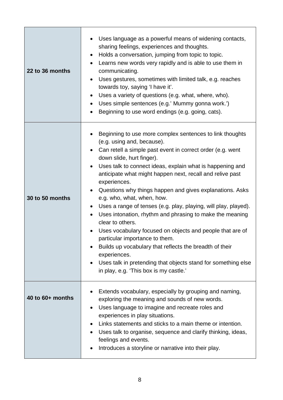| 22 to 36 months    | Uses language as a powerful means of widening contacts,<br>sharing feelings, experiences and thoughts.<br>Holds a conversation, jumping from topic to topic.<br>$\bullet$<br>Learns new words very rapidly and is able to use them in<br>$\bullet$<br>communicating.<br>Uses gestures, sometimes with limited talk, e.g. reaches<br>$\bullet$<br>towards toy, saying 'I have it'.<br>Uses a variety of questions (e.g. what, where, who).<br>$\bullet$<br>Uses simple sentences (e.g.' Mummy gonna work.')<br>$\bullet$<br>Beginning to use word endings (e.g. going, cats).<br>$\bullet$                                                                                                                                                                                                                                                                                                                                                   |
|--------------------|---------------------------------------------------------------------------------------------------------------------------------------------------------------------------------------------------------------------------------------------------------------------------------------------------------------------------------------------------------------------------------------------------------------------------------------------------------------------------------------------------------------------------------------------------------------------------------------------------------------------------------------------------------------------------------------------------------------------------------------------------------------------------------------------------------------------------------------------------------------------------------------------------------------------------------------------|
| 30 to 50 months    | Beginning to use more complex sentences to link thoughts<br>$\bullet$<br>(e.g. using and, because).<br>Can retell a simple past event in correct order (e.g. went<br>down slide, hurt finger).<br>Uses talk to connect ideas, explain what is happening and<br>$\bullet$<br>anticipate what might happen next, recall and relive past<br>experiences.<br>Questions why things happen and gives explanations. Asks<br>$\bullet$<br>e.g. who, what, when, how.<br>Uses a range of tenses (e.g. play, playing, will play, played).<br>$\bullet$<br>Uses intonation, rhythm and phrasing to make the meaning<br>$\bullet$<br>clear to others.<br>Uses vocabulary focused on objects and people that are of<br>particular importance to them.<br>Builds up vocabulary that reflects the breadth of their<br>experiences.<br>Uses talk in pretending that objects stand for something else<br>$\bullet$<br>in play, e.g. 'This box is my castle.' |
| 40 to $60+$ months | Extends vocabulary, especially by grouping and naming,<br>exploring the meaning and sounds of new words.<br>Uses language to imagine and recreate roles and<br>٠<br>experiences in play situations.<br>Links statements and sticks to a main theme or intention.<br>Uses talk to organise, sequence and clarify thinking, ideas,<br>$\bullet$<br>feelings and events.<br>Introduces a storyline or narrative into their play.                                                                                                                                                                                                                                                                                                                                                                                                                                                                                                               |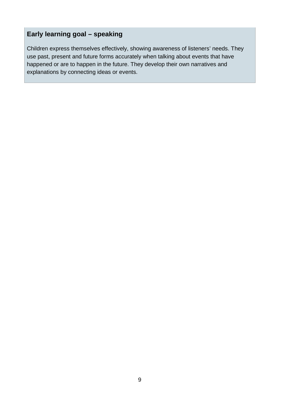#### **Early learning goal – speaking**

Children express themselves effectively, showing awareness of listeners' needs. They use past, present and future forms accurately when talking about events that have happened or are to happen in the future. They develop their own narratives and explanations by connecting ideas or events.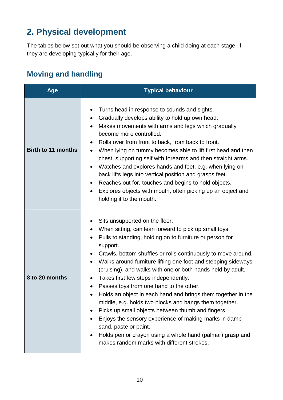# <span id="page-9-0"></span>**2. Physical development**

The tables below set out what you should be observing a child doing at each stage, if they are developing typically for their age.

# <span id="page-9-1"></span>**Moving and handling**

| Age                       | <b>Typical behaviour</b>                                                                                                                                                                                                                                                                                                                                                                                                                                                                                                                                                                                                                                                                                                                                                                                                                                                                           |
|---------------------------|----------------------------------------------------------------------------------------------------------------------------------------------------------------------------------------------------------------------------------------------------------------------------------------------------------------------------------------------------------------------------------------------------------------------------------------------------------------------------------------------------------------------------------------------------------------------------------------------------------------------------------------------------------------------------------------------------------------------------------------------------------------------------------------------------------------------------------------------------------------------------------------------------|
| <b>Birth to 11 months</b> | Turns head in response to sounds and sights.<br>$\bullet$<br>Gradually develops ability to hold up own head.<br>٠<br>Makes movements with arms and legs which gradually<br>become more controlled.<br>Rolls over from front to back, from back to front.<br>$\bullet$<br>When lying on tummy becomes able to lift first head and then<br>chest, supporting self with forearms and then straight arms.<br>Watches and explores hands and feet, e.g. when lying on<br>$\bullet$<br>back lifts legs into vertical position and grasps feet.<br>Reaches out for, touches and begins to hold objects.<br>٠<br>Explores objects with mouth, often picking up an object and<br>holding it to the mouth.                                                                                                                                                                                                   |
| 8 to 20 months            | Sits unsupported on the floor.<br>When sitting, can lean forward to pick up small toys.<br>٠<br>Pulls to standing, holding on to furniture or person for<br>support.<br>Crawls, bottom shuffles or rolls continuously to move around.<br>$\bullet$<br>Walks around furniture lifting one foot and stepping sideways<br>$\bullet$<br>(cruising), and walks with one or both hands held by adult.<br>Takes first few steps independently.<br>٠<br>Passes toys from one hand to the other.<br>٠<br>Holds an object in each hand and brings them together in the<br>middle, e.g. holds two blocks and bangs them together.<br>Picks up small objects between thumb and fingers.<br>$\bullet$<br>Enjoys the sensory experience of making marks in damp<br>sand, paste or paint.<br>Holds pen or crayon using a whole hand (palmar) grasp and<br>$\bullet$<br>makes random marks with different strokes. |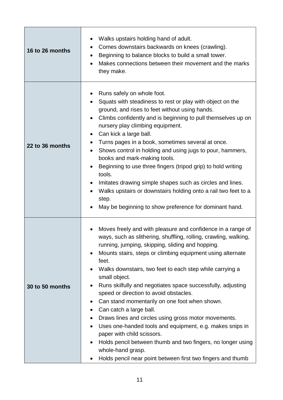| 16 to 26 months | Walks upstairs holding hand of adult.<br>Comes downstairs backwards on knees (crawling).<br>Beginning to balance blocks to build a small tower.<br>Makes connections between their movement and the marks<br>they make.                                                                                                                                                                                                                                                                                                                                                                                                                                                                                                                                                                                                                     |
|-----------------|---------------------------------------------------------------------------------------------------------------------------------------------------------------------------------------------------------------------------------------------------------------------------------------------------------------------------------------------------------------------------------------------------------------------------------------------------------------------------------------------------------------------------------------------------------------------------------------------------------------------------------------------------------------------------------------------------------------------------------------------------------------------------------------------------------------------------------------------|
| 22 to 36 months | Runs safely on whole foot.<br>Squats with steadiness to rest or play with object on the<br>ground, and rises to feet without using hands.<br>Climbs confidently and is beginning to pull themselves up on<br>$\bullet$<br>nursery play climbing equipment.<br>Can kick a large ball.<br>$\bullet$<br>Turns pages in a book, sometimes several at once.<br>Shows control in holding and using jugs to pour, hammers,<br>books and mark-making tools.<br>Beginning to use three fingers (tripod grip) to hold writing<br>tools.<br>Imitates drawing simple shapes such as circles and lines.<br>$\bullet$<br>Walks upstairs or downstairs holding onto a rail two feet to a<br>step.<br>May be beginning to show preference for dominant hand.                                                                                                |
| 30 to 50 months | Moves freely and with pleasure and confidence in a range of<br>ways, such as slithering, shuffling, rolling, crawling, walking,<br>running, jumping, skipping, sliding and hopping.<br>Mounts stairs, steps or climbing equipment using alternate<br>٠<br>feet.<br>Walks downstairs, two feet to each step while carrying a<br>small object.<br>Runs skilfully and negotiates space successfully, adjusting<br>٠<br>speed or direction to avoid obstacles.<br>Can stand momentarily on one foot when shown.<br>Can catch a large ball.<br>Draws lines and circles using gross motor movements.<br>Uses one-handed tools and equipment, e.g. makes snips in<br>paper with child scissors.<br>Holds pencil between thumb and two fingers, no longer using<br>whole-hand grasp.<br>Holds pencil near point between first two fingers and thumb |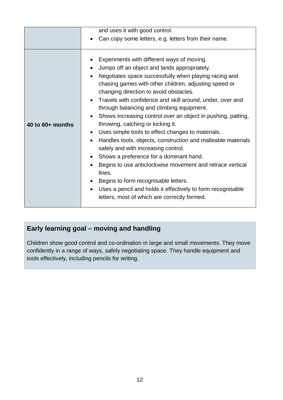|                  | and uses it with good control.                                                                                                                                                                                                                                                                                                                                                                                                                                                                                                                                                                                                                                                                                                                                                                                                                                                                                                                                 |
|------------------|----------------------------------------------------------------------------------------------------------------------------------------------------------------------------------------------------------------------------------------------------------------------------------------------------------------------------------------------------------------------------------------------------------------------------------------------------------------------------------------------------------------------------------------------------------------------------------------------------------------------------------------------------------------------------------------------------------------------------------------------------------------------------------------------------------------------------------------------------------------------------------------------------------------------------------------------------------------|
|                  | Can copy some letters, e.g. letters from their name.                                                                                                                                                                                                                                                                                                                                                                                                                                                                                                                                                                                                                                                                                                                                                                                                                                                                                                           |
| 40 to 60+ months | Experiments with different ways of moving.<br>Jumps off an object and lands appropriately.<br>$\bullet$<br>Negotiates space successfully when playing racing and<br>chasing games with other children, adjusting speed or<br>changing direction to avoid obstacles.<br>Travels with confidence and skill around, under, over and<br>$\bullet$<br>through balancing and climbing equipment.<br>Shows increasing control over an object in pushing, patting,<br>$\bullet$<br>throwing, catching or kicking it.<br>Uses simple tools to effect changes to materials.<br>Handles tools, objects, construction and malleable materials<br>safely and with increasing control.<br>Shows a preference for a dominant hand.<br>$\bullet$<br>Begins to use anticlockwise movement and retrace vertical<br>lines.<br>Begins to form recognisable letters.<br>Uses a pencil and holds it effectively to form recognisable<br>letters, most of which are correctly formed. |

## **Early learning goal – moving and handling**

Children show good control and co-ordination in large and small movements. They move confidently in a range of ways, safely negotiating space. They handle equipment and tools effectively, including pencils for writing.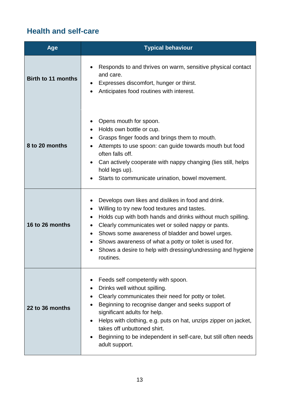# <span id="page-12-0"></span>**Health and self-care**

| Age                       | <b>Typical behaviour</b>                                                                                                                                                                                                                                                                                                                                                                                                                                           |
|---------------------------|--------------------------------------------------------------------------------------------------------------------------------------------------------------------------------------------------------------------------------------------------------------------------------------------------------------------------------------------------------------------------------------------------------------------------------------------------------------------|
| <b>Birth to 11 months</b> | Responds to and thrives on warm, sensitive physical contact<br>and care.<br>Expresses discomfort, hunger or thirst.<br>$\bullet$<br>Anticipates food routines with interest.                                                                                                                                                                                                                                                                                       |
| 8 to 20 months            | Opens mouth for spoon.<br>Holds own bottle or cup.<br>Grasps finger foods and brings them to mouth.<br>Attempts to use spoon: can guide towards mouth but food<br>often falls off.<br>Can actively cooperate with nappy changing (lies still, helps<br>$\bullet$<br>hold legs up).<br>Starts to communicate urination, bowel movement.                                                                                                                             |
| 16 to 26 months           | Develops own likes and dislikes in food and drink.<br>Willing to try new food textures and tastes.<br>$\bullet$<br>Holds cup with both hands and drinks without much spilling.<br>٠<br>Clearly communicates wet or soiled nappy or pants.<br>٠<br>Shows some awareness of bladder and bowel urges.<br>$\bullet$<br>Shows awareness of what a potty or toilet is used for.<br>Shows a desire to help with dressing/undressing and hygiene<br>$\bullet$<br>routines. |
| 22 to 36 months           | Feeds self competently with spoon.<br>Drinks well without spilling.<br>Clearly communicates their need for potty or toilet.<br>$\bullet$<br>Beginning to recognise danger and seeks support of<br>significant adults for help.<br>Helps with clothing, e.g. puts on hat, unzips zipper on jacket,<br>takes off unbuttoned shirt.<br>Beginning to be independent in self-care, but still often needs<br>adult support.                                              |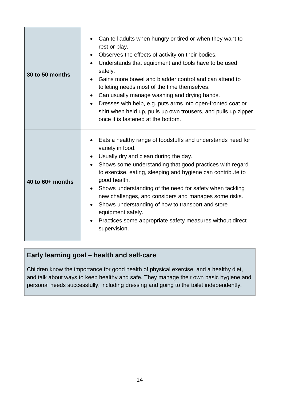| 30 to 50 months    | Can tell adults when hungry or tired or when they want to<br>rest or play.<br>Observes the effects of activity on their bodies.<br>$\bullet$<br>Understands that equipment and tools have to be used<br>$\bullet$<br>safely.<br>Gains more bowel and bladder control and can attend to<br>$\bullet$<br>toileting needs most of the time themselves.<br>Can usually manage washing and drying hands.<br>٠<br>Dresses with help, e.g. puts arms into open-fronted coat or<br>shirt when held up, pulls up own trousers, and pulls up zipper<br>once it is fastened at the bottom.                       |
|--------------------|-------------------------------------------------------------------------------------------------------------------------------------------------------------------------------------------------------------------------------------------------------------------------------------------------------------------------------------------------------------------------------------------------------------------------------------------------------------------------------------------------------------------------------------------------------------------------------------------------------|
| 40 to $60+$ months | Eats a healthy range of foodstuffs and understands need for<br>$\bullet$<br>variety in food.<br>• Usually dry and clean during the day.<br>Shows some understanding that good practices with regard<br>$\bullet$<br>to exercise, eating, sleeping and hygiene can contribute to<br>good health.<br>Shows understanding of the need for safety when tackling<br>$\bullet$<br>new challenges, and considers and manages some risks.<br>Shows understanding of how to transport and store<br>$\bullet$<br>equipment safely.<br>Practices some appropriate safety measures without direct<br>supervision. |

## **Early learning goal – health and self-care**

Children know the importance for good health of physical exercise, and a healthy diet, and talk about ways to keep healthy and safe. They manage their own basic hygiene and personal needs successfully, including dressing and going to the toilet independently.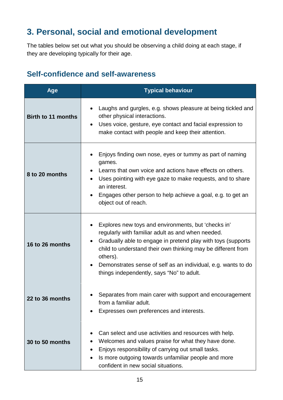# <span id="page-14-0"></span>**3. Personal, social and emotional development**

The tables below set out what you should be observing a child doing at each stage, if they are developing typically for their age.

# <span id="page-14-1"></span>**Self-confidence and self-awareness**

| <b>Age</b>         | <b>Typical behaviour</b>                                                                                                                                                                                                                                                                                                                                                                     |
|--------------------|----------------------------------------------------------------------------------------------------------------------------------------------------------------------------------------------------------------------------------------------------------------------------------------------------------------------------------------------------------------------------------------------|
| Birth to 11 months | Laughs and gurgles, e.g. shows pleasure at being tickled and<br>other physical interactions.<br>Uses voice, gesture, eye contact and facial expression to<br>$\bullet$<br>make contact with people and keep their attention.                                                                                                                                                                 |
| 8 to 20 months     | Enjoys finding own nose, eyes or tummy as part of naming<br>games.<br>Learns that own voice and actions have effects on others.<br>Uses pointing with eye gaze to make requests, and to share<br>$\bullet$<br>an interest.<br>Engages other person to help achieve a goal, e.g. to get an<br>object out of reach.                                                                            |
| 16 to 26 months    | Explores new toys and environments, but 'checks in'<br>regularly with familiar adult as and when needed.<br>Gradually able to engage in pretend play with toys (supports<br>$\bullet$<br>child to understand their own thinking may be different from<br>others).<br>Demonstrates sense of self as an individual, e.g. wants to do<br>$\bullet$<br>things independently, says "No" to adult. |
| 22 to 36 months    | Separates from main carer with support and encouragement<br>$\bullet$<br>from a familiar adult.<br>Expresses own preferences and interests.                                                                                                                                                                                                                                                  |
| 30 to 50 months    | Can select and use activities and resources with help.<br>Welcomes and values praise for what they have done.<br>Enjoys responsibility of carrying out small tasks.<br>Is more outgoing towards unfamiliar people and more<br>confident in new social situations.                                                                                                                            |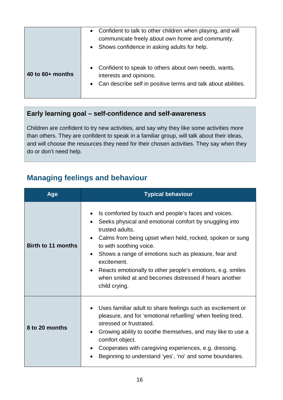|                      | • Confident to talk to other children when playing, and will<br>communicate freely about own home and community.<br>• Shows confidence in asking adults for help. |
|----------------------|-------------------------------------------------------------------------------------------------------------------------------------------------------------------|
| $40$ to $60+$ months | • Confident to speak to others about own needs, wants,<br>interests and opinions.<br>• Can describe self in positive terms and talk about abilities.              |

#### **Early learning goal – self-confidence and self-awareness**

Children are confident to try new activities, and say why they like some activities more than others. They are confident to speak in a familiar group, will talk about their ideas, and will choose the resources they need for their chosen activities. They say when they do or don't need help.

## <span id="page-15-0"></span>**Managing feelings and behaviour**

| <b>Age</b>         | <b>Typical behaviour</b>                                                                                                                                                                                                                                                                                                                                                                                                                                           |
|--------------------|--------------------------------------------------------------------------------------------------------------------------------------------------------------------------------------------------------------------------------------------------------------------------------------------------------------------------------------------------------------------------------------------------------------------------------------------------------------------|
| Birth to 11 months | Is comforted by touch and people's faces and voices.<br>Seeks physical and emotional comfort by snuggling into<br>trusted adults.<br>Calms from being upset when held, rocked, spoken or sung<br>$\bullet$<br>to with soothing voice.<br>Shows a range of emotions such as pleasure, fear and<br>excitement.<br>Reacts emotionally to other people's emotions, e.g. smiles<br>$\bullet$<br>when smiled at and becomes distressed if hears another<br>child crying. |
| 8 to 20 months     | Uses familiar adult to share feelings such as excitement or<br>pleasure, and for 'emotional refuelling' when feeling tired,<br>stressed or frustrated.<br>Growing ability to soothe themselves, and may like to use a<br>$\bullet$<br>comfort object.<br>Cooperates with caregiving experiences, e.g. dressing.<br>Beginning to understand 'yes', 'no' and some boundaries.                                                                                        |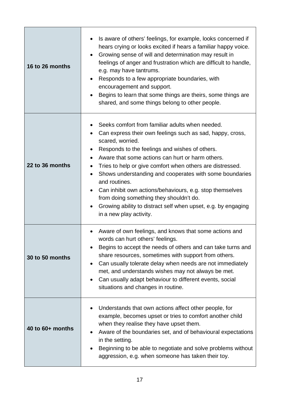| 16 to 26 months    | Is aware of others' feelings, for example, looks concerned if<br>hears crying or looks excited if hears a familiar happy voice.<br>Growing sense of will and determination may result in<br>$\bullet$<br>feelings of anger and frustration which are difficult to handle,<br>e.g. may have tantrums.<br>Responds to a few appropriate boundaries, with<br>$\bullet$<br>encouragement and support.<br>Begins to learn that some things are theirs, some things are<br>$\bullet$<br>shared, and some things belong to other people.                                                                                                                                             |
|--------------------|-------------------------------------------------------------------------------------------------------------------------------------------------------------------------------------------------------------------------------------------------------------------------------------------------------------------------------------------------------------------------------------------------------------------------------------------------------------------------------------------------------------------------------------------------------------------------------------------------------------------------------------------------------------------------------|
| 22 to 36 months    | Seeks comfort from familiar adults when needed.<br>Can express their own feelings such as sad, happy, cross,<br>$\bullet$<br>scared, worried.<br>Responds to the feelings and wishes of others.<br>$\bullet$<br>Aware that some actions can hurt or harm others.<br>$\bullet$<br>Tries to help or give comfort when others are distressed.<br>$\bullet$<br>Shows understanding and cooperates with some boundaries<br>$\bullet$<br>and routines.<br>Can inhibit own actions/behaviours, e.g. stop themselves<br>$\bullet$<br>from doing something they shouldn't do.<br>Growing ability to distract self when upset, e.g. by engaging<br>$\bullet$<br>in a new play activity. |
| 30 to 50 months    | Aware of own feelings, and knows that some actions and<br>words can hurt others' feelings.<br>Begins to accept the needs of others and can take turns and<br>share resources, sometimes with support from others.<br>Can usually tolerate delay when needs are not immediately<br>$\bullet$<br>met, and understands wishes may not always be met.<br>Can usually adapt behaviour to different events, social<br>٠<br>situations and changes in routine.                                                                                                                                                                                                                       |
| 40 to $60+$ months | Understands that own actions affect other people, for<br>٠<br>example, becomes upset or tries to comfort another child<br>when they realise they have upset them.<br>Aware of the boundaries set, and of behavioural expectations<br>$\bullet$<br>in the setting.<br>Beginning to be able to negotiate and solve problems without<br>$\bullet$<br>aggression, e.g. when someone has taken their toy.                                                                                                                                                                                                                                                                          |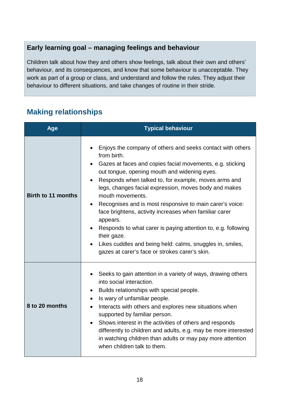#### **Early learning goal – managing feelings and behaviour**

Children talk about how they and others show feelings, talk about their own and others' behaviour, and its consequences, and know that some behaviour is unacceptable. They work as part of a group or class, and understand and follow the rules. They adjust their behaviour to different situations, and take changes of routine in their stride.

# <span id="page-17-0"></span>**Making relationships**

| Age                       | <b>Typical behaviour</b>                                                                                                                                                                                                                                                                                                                                                                                                                                                                                                                                                                                                                                                               |
|---------------------------|----------------------------------------------------------------------------------------------------------------------------------------------------------------------------------------------------------------------------------------------------------------------------------------------------------------------------------------------------------------------------------------------------------------------------------------------------------------------------------------------------------------------------------------------------------------------------------------------------------------------------------------------------------------------------------------|
| <b>Birth to 11 months</b> | Enjoys the company of others and seeks contact with others<br>from birth.<br>Gazes at faces and copies facial movements, e.g. sticking<br>$\bullet$<br>out tongue, opening mouth and widening eyes.<br>Responds when talked to, for example, moves arms and<br>$\bullet$<br>legs, changes facial expression, moves body and makes<br>mouth movements.<br>Recognises and is most responsive to main carer's voice:<br>face brightens, activity increases when familiar carer<br>appears.<br>Responds to what carer is paying attention to, e.g. following<br>their gaze.<br>Likes cuddles and being held: calms, snuggles in, smiles,<br>gazes at carer's face or strokes carer's skin. |
| 8 to 20 months            | Seeks to gain attention in a variety of ways, drawing others<br>$\bullet$<br>into social interaction.<br>Builds relationships with special people.<br>$\bullet$<br>Is wary of unfamiliar people.<br>$\bullet$<br>Interacts with others and explores new situations when<br>$\bullet$<br>supported by familiar person.<br>Shows interest in the activities of others and responds<br>differently to children and adults, e.g. may be more interested<br>in watching children than adults or may pay more attention<br>when children talk to them.                                                                                                                                       |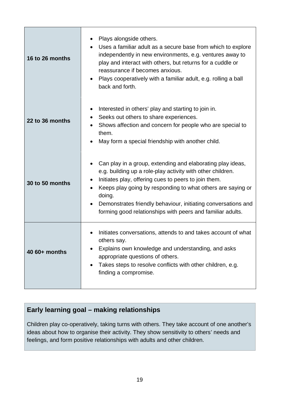| 16 to 26 months | Plays alongside others.<br>Uses a familiar adult as a secure base from which to explore<br>independently in new environments, e.g. ventures away to<br>play and interact with others, but returns for a cuddle or<br>reassurance if becomes anxious.<br>Plays cooperatively with a familiar adult, e.g. rolling a ball<br>back and forth.                                                |
|-----------------|------------------------------------------------------------------------------------------------------------------------------------------------------------------------------------------------------------------------------------------------------------------------------------------------------------------------------------------------------------------------------------------|
| 22 to 36 months | Interested in others' play and starting to join in.<br>Seeks out others to share experiences.<br>Shows affection and concern for people who are special to<br>them.<br>May form a special friendship with another child.                                                                                                                                                                 |
| 30 to 50 months | Can play in a group, extending and elaborating play ideas,<br>e.g. building up a role-play activity with other children.<br>Initiates play, offering cues to peers to join them.<br>Keeps play going by responding to what others are saying or<br>doing.<br>Demonstrates friendly behaviour, initiating conversations and<br>forming good relationships with peers and familiar adults. |
| $4060+$ months  | Initiates conversations, attends to and takes account of what<br>others say.<br>Explains own knowledge and understanding, and asks<br>appropriate questions of others.<br>Takes steps to resolve conflicts with other children, e.g.<br>finding a compromise.                                                                                                                            |

#### **Early learning goal – making relationships**

Children play co-operatively, taking turns with others. They take account of one another's ideas about how to organise their activity. They show sensitivity to others' needs and feelings, and form positive relationships with adults and other children.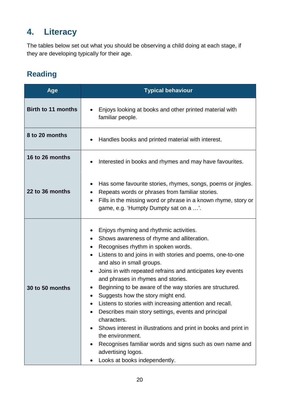# <span id="page-19-0"></span>**4. Literacy**

The tables below set out what you should be observing a child doing at each stage, if they are developing typically for their age.

# <span id="page-19-1"></span>**Reading**

| Age                       | <b>Typical behaviour</b>                                                                                                                                                                                                                                                                                                                                                                                                                                                                                                                                                                                                                                                                                                                                                                                                              |
|---------------------------|---------------------------------------------------------------------------------------------------------------------------------------------------------------------------------------------------------------------------------------------------------------------------------------------------------------------------------------------------------------------------------------------------------------------------------------------------------------------------------------------------------------------------------------------------------------------------------------------------------------------------------------------------------------------------------------------------------------------------------------------------------------------------------------------------------------------------------------|
| <b>Birth to 11 months</b> | Enjoys looking at books and other printed material with<br>familiar people.                                                                                                                                                                                                                                                                                                                                                                                                                                                                                                                                                                                                                                                                                                                                                           |
| 8 to 20 months            | Handles books and printed material with interest.<br>$\bullet$                                                                                                                                                                                                                                                                                                                                                                                                                                                                                                                                                                                                                                                                                                                                                                        |
| 16 to 26 months           | Interested in books and rhymes and may have favourites.                                                                                                                                                                                                                                                                                                                                                                                                                                                                                                                                                                                                                                                                                                                                                                               |
| 22 to 36 months           | Has some favourite stories, rhymes, songs, poems or jingles.<br>٠<br>Repeats words or phrases from familiar stories.<br>Fills in the missing word or phrase in a known rhyme, story or<br>$\bullet$<br>game, e.g. 'Humpty Dumpty sat on a '.                                                                                                                                                                                                                                                                                                                                                                                                                                                                                                                                                                                          |
| 30 to 50 months           | Enjoys rhyming and rhythmic activities.<br>Shows awareness of rhyme and alliteration.<br>$\bullet$<br>Recognises rhythm in spoken words.<br>٠<br>Listens to and joins in with stories and poems, one-to-one<br>$\bullet$<br>and also in small groups.<br>Joins in with repeated refrains and anticipates key events<br>$\bullet$<br>and phrases in rhymes and stories.<br>Beginning to be aware of the way stories are structured.<br>Suggests how the story might end.<br>Listens to stories with increasing attention and recall.<br>Describes main story settings, events and principal<br>٠<br>characters.<br>Shows interest in illustrations and print in books and print in<br>the environment.<br>Recognises familiar words and signs such as own name and<br>advertising logos.<br>Looks at books independently.<br>$\bullet$ |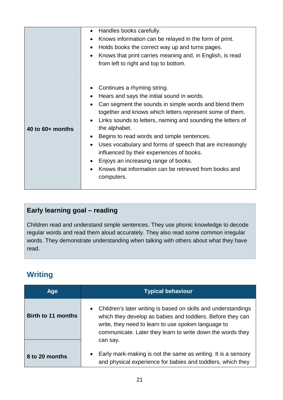|                    | Handles books carefully.<br>$\bullet$<br>Knows information can be relayed in the form of print.<br>Holds books the correct way up and turns pages.<br>Knows that print carries meaning and, in English, is read<br>from left to right and top to bottom.                                                                                                                                                                                                                                                                                               |
|--------------------|--------------------------------------------------------------------------------------------------------------------------------------------------------------------------------------------------------------------------------------------------------------------------------------------------------------------------------------------------------------------------------------------------------------------------------------------------------------------------------------------------------------------------------------------------------|
| 40 to $60+$ months | Continues a rhyming string.<br>Hears and says the initial sound in words.<br>Can segment the sounds in simple words and blend them<br>together and knows which letters represent some of them.<br>Links sounds to letters, naming and sounding the letters of<br>the alphabet.<br>Begins to read words and simple sentences.<br>Uses vocabulary and forms of speech that are increasingly<br>influenced by their experiences of books.<br>Enjoys an increasing range of books.<br>Knows that information can be retrieved from books and<br>computers. |

#### **Early learning goal – reading**

Children read and understand simple sentences. They use phonic knowledge to decode regular words and read them aloud accurately. They also read some common irregular words. They demonstrate understanding when talking with others about what they have read.

# <span id="page-20-0"></span>**Writing**

| Age                | <b>Typical behaviour</b>                                                                                                                                                                                                                                                   |
|--------------------|----------------------------------------------------------------------------------------------------------------------------------------------------------------------------------------------------------------------------------------------------------------------------|
| Birth to 11 months | Children's later writing is based on skills and understandings<br>$\bullet$<br>which they develop as babies and toddlers. Before they can<br>write, they need to learn to use spoken language to<br>communicate. Later they learn to write down the words they<br>can say. |
| 8 to 20 months     | Early mark-making is not the same as writing. It is a sensory<br>$\bullet$<br>and physical experience for babies and toddlers, which they                                                                                                                                  |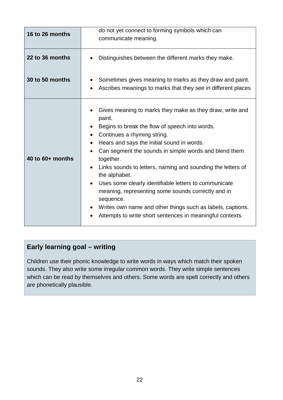| 16 to 26 months    | do not yet connect to forming symbols which can<br>communicate meaning.                                                                                                                                                                                                                                                                                                                                                                                                                                                                                                                                                                                                                           |
|--------------------|---------------------------------------------------------------------------------------------------------------------------------------------------------------------------------------------------------------------------------------------------------------------------------------------------------------------------------------------------------------------------------------------------------------------------------------------------------------------------------------------------------------------------------------------------------------------------------------------------------------------------------------------------------------------------------------------------|
| 22 to 36 months    | Distinguishes between the different marks they make.                                                                                                                                                                                                                                                                                                                                                                                                                                                                                                                                                                                                                                              |
| 30 to 50 months    | Sometimes gives meaning to marks as they draw and paint.<br>Ascribes meanings to marks that they see in different places                                                                                                                                                                                                                                                                                                                                                                                                                                                                                                                                                                          |
| 40 to $60+$ months | Gives meaning to marks they make as they draw, write and<br>paint.<br>Begins to break the flow of speech into words.<br>٠<br>Continues a rhyming string.<br>$\bullet$<br>Hears and says the initial sound in words.<br>$\bullet$<br>Can segment the sounds in simple words and blend them<br>$\bullet$<br>together.<br>Links sounds to letters, naming and sounding the letters of<br>$\bullet$<br>the alphabet.<br>Uses some clearly identifiable letters to communicate<br>$\bullet$<br>meaning, representing some sounds correctly and in<br>sequence.<br>Writes own name and other things such as labels, captions.<br>$\bullet$<br>Attempts to write short sentences in meaningful contexts. |

#### **Early learning goal – writing**

Children use their phonic knowledge to write words in ways which match their spoken sounds. They also write some irregular common words. They write simple sentences which can be read by themselves and others. Some words are spelt correctly and others are phonetically plausible.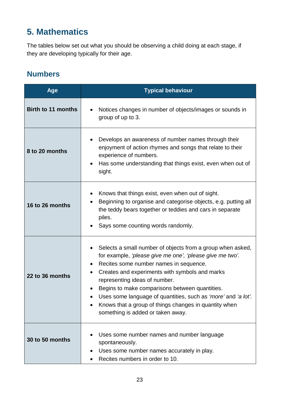# <span id="page-22-0"></span>**5. Mathematics**

The tables below set out what you should be observing a child doing at each stage, if they are developing typically for their age.

# <span id="page-22-1"></span>**Numbers**

| Age                       | <b>Typical behaviour</b>                                                                                                                                                                                                                                                                                                                                                                                                                                                          |
|---------------------------|-----------------------------------------------------------------------------------------------------------------------------------------------------------------------------------------------------------------------------------------------------------------------------------------------------------------------------------------------------------------------------------------------------------------------------------------------------------------------------------|
| <b>Birth to 11 months</b> | Notices changes in number of objects/images or sounds in<br>group of up to 3.                                                                                                                                                                                                                                                                                                                                                                                                     |
| 8 to 20 months            | Develops an awareness of number names through their<br>enjoyment of action rhymes and songs that relate to their<br>experience of numbers.<br>Has some understanding that things exist, even when out of<br>٠<br>sight.                                                                                                                                                                                                                                                           |
| 16 to 26 months           | Knows that things exist, even when out of sight.<br>Beginning to organise and categorise objects, e.g. putting all<br>the teddy bears together or teddies and cars in separate<br>piles.<br>Says some counting words randomly.                                                                                                                                                                                                                                                    |
| 22 to 36 months           | Selects a small number of objects from a group when asked,<br>for example, 'please give me one', 'please give me two'.<br>Recites some number names in sequence.<br>$\bullet$<br>Creates and experiments with symbols and marks<br>representing ideas of number.<br>Begins to make comparisons between quantities.<br>Uses some language of quantities, such as 'more' and 'a lot'.<br>Knows that a group of things changes in quantity when<br>something is added or taken away. |
| 30 to 50 months           | Uses some number names and number language<br>spontaneously.<br>Uses some number names accurately in play.<br>Recites numbers in order to 10.                                                                                                                                                                                                                                                                                                                                     |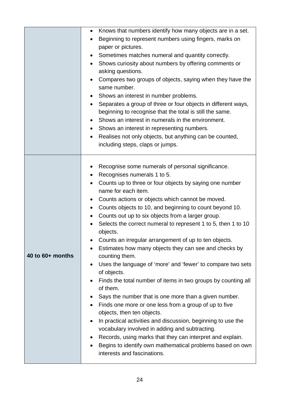|                      | Knows that numbers identify how many objects are in a set.<br>$\bullet$<br>Beginning to represent numbers using fingers, marks on<br>paper or pictures.<br>Sometimes matches numeral and quantity correctly.<br>Shows curiosity about numbers by offering comments or<br>asking questions.<br>Compares two groups of objects, saying when they have the<br>same number.<br>Shows an interest in number problems.<br>Separates a group of three or four objects in different ways,<br>beginning to recognise that the total is still the same.<br>Shows an interest in numerals in the environment.                                                                                                                                                                                                                                                                                                                                                                                                                                                                                                                                                                                                |
|----------------------|---------------------------------------------------------------------------------------------------------------------------------------------------------------------------------------------------------------------------------------------------------------------------------------------------------------------------------------------------------------------------------------------------------------------------------------------------------------------------------------------------------------------------------------------------------------------------------------------------------------------------------------------------------------------------------------------------------------------------------------------------------------------------------------------------------------------------------------------------------------------------------------------------------------------------------------------------------------------------------------------------------------------------------------------------------------------------------------------------------------------------------------------------------------------------------------------------|
|                      | Shows an interest in representing numbers.<br>Realises not only objects, but anything can be counted,<br>$\bullet$<br>including steps, claps or jumps.                                                                                                                                                                                                                                                                                                                                                                                                                                                                                                                                                                                                                                                                                                                                                                                                                                                                                                                                                                                                                                            |
| $40$ to $60+$ months | Recognise some numerals of personal significance.<br>Recognises numerals 1 to 5.<br>Counts up to three or four objects by saying one number<br>name for each item.<br>Counts actions or objects which cannot be moved.<br>$\bullet$<br>Counts objects to 10, and beginning to count beyond 10.<br>$\bullet$<br>Counts out up to six objects from a larger group.<br>Selects the correct numeral to represent 1 to 5, then 1 to 10<br>objects.<br>Counts an irregular arrangement of up to ten objects.<br>Estimates how many objects they can see and checks by<br>counting them.<br>Uses the language of 'more' and 'fewer' to compare two sets<br>$\bullet$<br>of objects.<br>Finds the total number of items in two groups by counting all<br>of them.<br>Says the number that is one more than a given number.<br>Finds one more or one less from a group of up to five<br>objects, then ten objects.<br>In practical activities and discussion, beginning to use the<br>$\bullet$<br>vocabulary involved in adding and subtracting.<br>Records, using marks that they can interpret and explain.<br>Begins to identify own mathematical problems based on own<br>interests and fascinations. |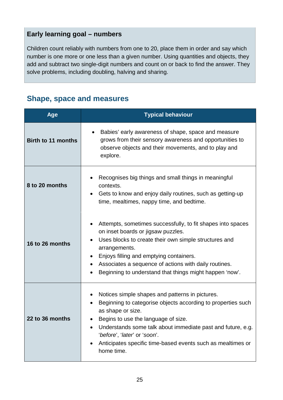#### **Early learning goal – numbers**

Children count reliably with numbers from one to 20, place them in order and say which number is one more or one less than a given number. Using quantities and objects, they add and subtract two single-digit numbers and count on or back to find the answer. They solve problems, including doubling, halving and sharing.

## <span id="page-24-0"></span>**Shape, space and measures**

| Age                       | <b>Typical behaviour</b>                                                                                                                                                                                                                                                                                                                                             |
|---------------------------|----------------------------------------------------------------------------------------------------------------------------------------------------------------------------------------------------------------------------------------------------------------------------------------------------------------------------------------------------------------------|
| <b>Birth to 11 months</b> | Babies' early awareness of shape, space and measure<br>grows from their sensory awareness and opportunities to<br>observe objects and their movements, and to play and<br>explore.                                                                                                                                                                                   |
| 8 to 20 months            | Recognises big things and small things in meaningful<br>contexts.<br>Gets to know and enjoy daily routines, such as getting-up<br>time, mealtimes, nappy time, and bedtime.                                                                                                                                                                                          |
| 16 to 26 months           | Attempts, sometimes successfully, to fit shapes into spaces<br>on inset boards or jigsaw puzzles.<br>Uses blocks to create their own simple structures and<br>arrangements.<br>Enjoys filling and emptying containers.<br>Associates a sequence of actions with daily routines.<br>Beginning to understand that things might happen 'now'.                           |
| 22 to 36 months           | Notices simple shapes and patterns in pictures.<br>Beginning to categorise objects according to properties such<br>as shape or size.<br>Begins to use the language of size.<br>Understands some talk about immediate past and future, e.g.<br>$\bullet$<br>'before', 'later' or 'soon'.<br>Anticipates specific time-based events such as mealtimes or<br>home time. |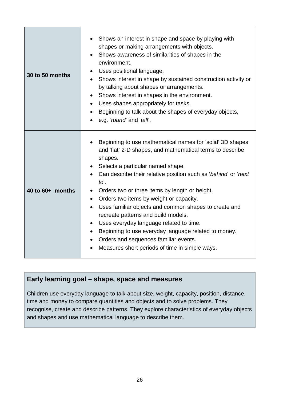| 30 to 50 months  | Shows an interest in shape and space by playing with<br>shapes or making arrangements with objects.<br>Shows awareness of similarities of shapes in the<br>$\bullet$<br>environment.<br>Uses positional language.<br>• Shows interest in shape by sustained construction activity or<br>by talking about shapes or arrangements.<br>Shows interest in shapes in the environment.<br>٠<br>• Uses shapes appropriately for tasks.<br>Beginning to talk about the shapes of everyday objects,<br>e.g. 'round' and 'tall'.                                                                                                                                            |
|------------------|-------------------------------------------------------------------------------------------------------------------------------------------------------------------------------------------------------------------------------------------------------------------------------------------------------------------------------------------------------------------------------------------------------------------------------------------------------------------------------------------------------------------------------------------------------------------------------------------------------------------------------------------------------------------|
| 40 to 60+ months | Beginning to use mathematical names for 'solid' 3D shapes<br>and 'flat' 2-D shapes, and mathematical terms to describe<br>shapes.<br>• Selects a particular named shape.<br>Can describe their relative position such as 'behind' or 'next'<br>to'.<br>• Orders two or three items by length or height.<br>Orders two items by weight or capacity.<br>$\bullet$<br>Uses familiar objects and common shapes to create and<br>recreate patterns and build models.<br>• Uses everyday language related to time.<br>Beginning to use everyday language related to money.<br>• Orders and sequences familiar events.<br>Measures short periods of time in simple ways. |

## **Early learning goal – shape, space and measures**

Children use everyday language to talk about size, weight, capacity, position, distance, time and money to compare quantities and objects and to solve problems. They recognise, create and describe patterns. They explore characteristics of everyday objects and shapes and use mathematical language to describe them.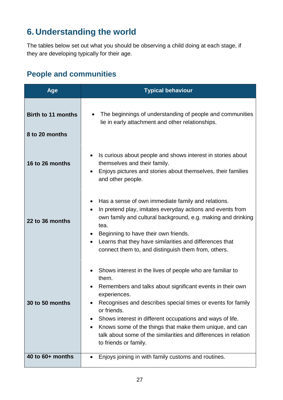# <span id="page-26-0"></span>**6. Understanding the world**

The tables below set out what you should be observing a child doing at each stage, if they are developing typically for their age.

## <span id="page-26-1"></span>**People and communities**

| Age                                         | <b>Typical behaviour</b>                                                                                                                                                                                                                                                                                                                                                                                                                                      |
|---------------------------------------------|---------------------------------------------------------------------------------------------------------------------------------------------------------------------------------------------------------------------------------------------------------------------------------------------------------------------------------------------------------------------------------------------------------------------------------------------------------------|
| <b>Birth to 11 months</b><br>8 to 20 months | The beginnings of understanding of people and communities<br>lie in early attachment and other relationships.                                                                                                                                                                                                                                                                                                                                                 |
| 16 to 26 months                             | Is curious about people and shows interest in stories about<br>$\bullet$<br>themselves and their family.<br>Enjoys pictures and stories about themselves, their families<br>and other people.                                                                                                                                                                                                                                                                 |
| 22 to 36 months                             | Has a sense of own immediate family and relations.<br>In pretend play, imitates everyday actions and events from<br>$\bullet$<br>own family and cultural background, e.g. making and drinking<br>tea.<br>Beginning to have their own friends.<br>Learns that they have similarities and differences that<br>connect them to, and distinguish them from, others.                                                                                               |
| 30 to 50 months                             | Shows interest in the lives of people who are familiar to<br>them.<br>Remembers and talks about significant events in their own<br>experiences<br>Recognises and describes special times or events for family<br>or friends.<br>Shows interest in different occupations and ways of life.<br>Knows some of the things that make them unique, and can<br>$\bullet$<br>talk about some of the similarities and differences in relation<br>to friends or family. |
| 40 to 60+ months                            | Enjoys joining in with family customs and routines.                                                                                                                                                                                                                                                                                                                                                                                                           |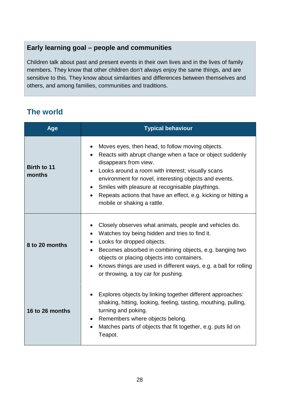#### **Early learning goal – people and communities**

Children talk about past and present events in their own lives and in the lives of family members. They know that other children don't always enjoy the same things, and are sensitive to this. They know about similarities and differences between themselves and others, and among families, communities and traditions.

# <span id="page-27-0"></span>**The world**

| <b>Age</b>                   | <b>Typical behaviour</b>                                                                                                                                                                                                                                                                                                                                                                                                                 |
|------------------------------|------------------------------------------------------------------------------------------------------------------------------------------------------------------------------------------------------------------------------------------------------------------------------------------------------------------------------------------------------------------------------------------------------------------------------------------|
| <b>Birth to 11</b><br>months | Moves eyes, then head, to follow moving objects.<br>٠<br>Reacts with abrupt change when a face or object suddenly<br>disappears from view.<br>Looks around a room with interest; visually scans<br>$\bullet$<br>environment for novel, interesting objects and events.<br>Smiles with pleasure at recognisable playthings.<br>$\bullet$<br>Repeats actions that have an effect, e.g. kicking or hitting a<br>mobile or shaking a rattle. |
| 8 to 20 months               | Closely observes what animals, people and vehicles do.<br>$\bullet$<br>Watches toy being hidden and tries to find it.<br>$\bullet$<br>Looks for dropped objects.<br>Becomes absorbed in combining objects, e.g. banging two<br>objects or placing objects into containers.<br>Knows things are used in different ways, e.g. a ball for rolling<br>$\bullet$<br>or throwing, a toy car for pushing.                                       |
| 16 to 26 months              | Explores objects by linking together different approaches:<br>shaking, hitting, looking, feeling, tasting, mouthing, pulling,<br>turning and poking.<br>Remembers where objects belong.<br>$\bullet$<br>Matches parts of objects that fit together, e.g. puts lid on<br>Teapot.                                                                                                                                                          |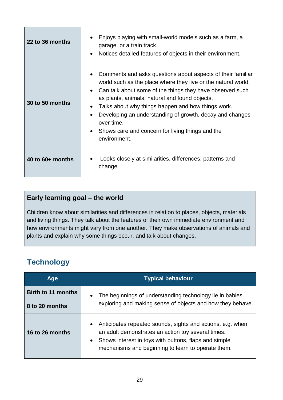| 22 to 36 months    | Enjoys playing with small-world models such as a farm, a<br>$\bullet$<br>garage, or a train track.<br>Notices detailed features of objects in their environment.<br>$\bullet$                                                                                                                                                                                                                                                                                                                                    |
|--------------------|------------------------------------------------------------------------------------------------------------------------------------------------------------------------------------------------------------------------------------------------------------------------------------------------------------------------------------------------------------------------------------------------------------------------------------------------------------------------------------------------------------------|
| 30 to 50 months    | Comments and asks questions about aspects of their familiar<br>$\bullet$<br>world such as the place where they live or the natural world.<br>Can talk about some of the things they have observed such<br>$\bullet$<br>as plants, animals, natural and found objects.<br>Talks about why things happen and how things work.<br>$\bullet$<br>Developing an understanding of growth, decay and changes<br>$\bullet$<br>over time.<br>Shows care and concern for living things and the<br>$\bullet$<br>environment. |
| 40 to $60+$ months | Looks closely at similarities, differences, patterns and<br>$\bullet$<br>change.                                                                                                                                                                                                                                                                                                                                                                                                                                 |

#### **Early learning goal – the world**

Children know about similarities and differences in relation to places, objects, materials and living things. They talk about the features of their own immediate environment and how environments might vary from one another. They make observations of animals and plants and explain why some things occur, and talk about changes.

# <span id="page-28-0"></span>**Technology**

| Age                | <b>Typical behaviour</b>                                                                                                                                                                                                                                  |
|--------------------|-----------------------------------------------------------------------------------------------------------------------------------------------------------------------------------------------------------------------------------------------------------|
| Birth to 11 months | The beginnings of understanding technology lie in babies<br>$\bullet$                                                                                                                                                                                     |
| 8 to 20 months     | exploring and making sense of objects and how they behave.                                                                                                                                                                                                |
| 16 to 26 months    | Anticipates repeated sounds, sights and actions, e.g. when<br>$\bullet$<br>an adult demonstrates an action toy several times.<br>Shows interest in toys with buttons, flaps and simple<br>$\bullet$<br>mechanisms and beginning to learn to operate them. |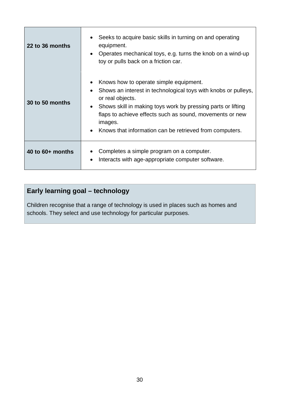| 22 to 36 months      | Seeks to acquire basic skills in turning on and operating<br>$\bullet$<br>equipment.<br>Operates mechanical toys, e.g. turns the knob on a wind-up<br>$\bullet$<br>toy or pulls back on a friction car.                                                                                                                                                                            |
|----------------------|------------------------------------------------------------------------------------------------------------------------------------------------------------------------------------------------------------------------------------------------------------------------------------------------------------------------------------------------------------------------------------|
| 30 to 50 months      | Knows how to operate simple equipment.<br>$\bullet$<br>Shows an interest in technological toys with knobs or pulleys,<br>$\bullet$<br>or real objects.<br>Shows skill in making toys work by pressing parts or lifting<br>$\bullet$<br>flaps to achieve effects such as sound, movements or new<br>images.<br>Knows that information can be retrieved from computers.<br>$\bullet$ |
| $40$ to $60+$ months | Completes a simple program on a computer.<br>Interacts with age-appropriate computer software.                                                                                                                                                                                                                                                                                     |

## **Early learning goal – technology**

Children recognise that a range of technology is used in places such as homes and schools. They select and use technology for particular purposes.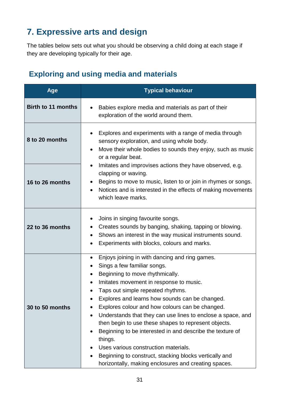# <span id="page-30-0"></span>**7. Expressive arts and design**

The tables below sets out what you should be observing a child doing at each stage if they are developing typically for their age.

# <span id="page-30-1"></span>**Exploring and using media and materials**

| Age                               | <b>Typical behaviour</b>                                                                                                                                                                                                                                                                                                                                                                                                                                                                                                                                                                                                                                                                                        |
|-----------------------------------|-----------------------------------------------------------------------------------------------------------------------------------------------------------------------------------------------------------------------------------------------------------------------------------------------------------------------------------------------------------------------------------------------------------------------------------------------------------------------------------------------------------------------------------------------------------------------------------------------------------------------------------------------------------------------------------------------------------------|
| <b>Birth to 11 months</b>         | Babies explore media and materials as part of their<br>$\bullet$<br>exploration of the world around them.                                                                                                                                                                                                                                                                                                                                                                                                                                                                                                                                                                                                       |
| 8 to 20 months<br>16 to 26 months | Explores and experiments with a range of media through<br>sensory exploration, and using whole body.<br>Move their whole bodies to sounds they enjoy, such as music<br>$\bullet$<br>or a regular beat.<br>Imitates and improvises actions they have observed, e.g.<br>٠<br>clapping or waving.<br>Begins to move to music, listen to or join in rhymes or songs.<br>$\bullet$<br>Notices and is interested in the effects of making movements<br>which leave marks.                                                                                                                                                                                                                                             |
| 22 to 36 months                   | Joins in singing favourite songs.<br>$\bullet$<br>Creates sounds by banging, shaking, tapping or blowing.<br>٠<br>Shows an interest in the way musical instruments sound.<br>$\bullet$<br>Experiments with blocks, colours and marks.                                                                                                                                                                                                                                                                                                                                                                                                                                                                           |
| 30 to 50 months                   | Enjoys joining in with dancing and ring games.<br>٠<br>Sings a few familiar songs.<br>Beginning to move rhythmically.<br>Imitates movement in response to music.<br>Taps out simple repeated rhythms.<br>Explores and learns how sounds can be changed.<br>Explores colour and how colours can be changed.<br>Understands that they can use lines to enclose a space, and<br>$\bullet$<br>then begin to use these shapes to represent objects.<br>Beginning to be interested in and describe the texture of<br>٠<br>things.<br>Uses various construction materials.<br>$\bullet$<br>Beginning to construct, stacking blocks vertically and<br>$\bullet$<br>horizontally, making enclosures and creating spaces. |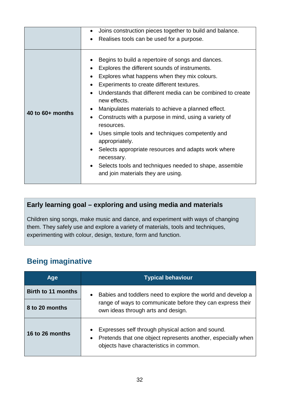|                  | Joins construction pieces together to build and balance.<br>$\bullet$<br>Realises tools can be used for a purpose.<br>$\bullet$                                                                                                                                                                                                                                                                                                                                                                                                                                                                                                                                                              |
|------------------|----------------------------------------------------------------------------------------------------------------------------------------------------------------------------------------------------------------------------------------------------------------------------------------------------------------------------------------------------------------------------------------------------------------------------------------------------------------------------------------------------------------------------------------------------------------------------------------------------------------------------------------------------------------------------------------------|
| 40 to 60+ months | Begins to build a repertoire of songs and dances.<br>Explores the different sounds of instruments.<br>$\bullet$<br>Explores what happens when they mix colours.<br>Experiments to create different textures.<br>Understands that different media can be combined to create<br>new effects.<br>Manipulates materials to achieve a planned effect.<br>Constructs with a purpose in mind, using a variety of<br>resources.<br>Uses simple tools and techniques competently and<br>$\bullet$<br>appropriately.<br>Selects appropriate resources and adapts work where<br>$\bullet$<br>necessary.<br>Selects tools and techniques needed to shape, assemble<br>and join materials they are using. |

#### **Early learning goal – exploring and using media and materials**

Children sing songs, make music and dance, and experiment with ways of changing them. They safely use and explore a variety of materials, tools and techniques, experimenting with colour, design, texture, form and function.

# <span id="page-31-0"></span>**Being imaginative**

| Age                | <b>Typical behaviour</b>                                                                                                                                                     |
|--------------------|------------------------------------------------------------------------------------------------------------------------------------------------------------------------------|
| Birth to 11 months | Babies and toddlers need to explore the world and develop a<br>$\bullet$<br>range of ways to communicate before they can express their<br>own ideas through arts and design. |
| 8 to 20 months     |                                                                                                                                                                              |
| 16 to 26 months    | Expresses self through physical action and sound.<br>Pretends that one object represents another, especially when<br>$\bullet$<br>objects have characteristics in common.    |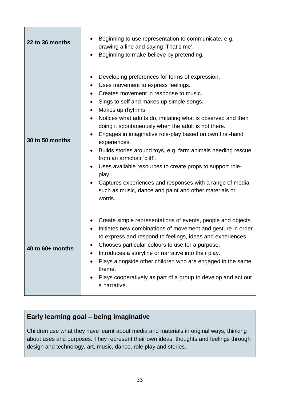| 22 to 36 months      | Beginning to use representation to communicate, e.g.<br>drawing a line and saying 'That's me'.<br>Beginning to make-believe by pretending.<br>$\bullet$                                                                                                                                                                                                                                                                                                                                                                                                                                                                                                                                                                                                                  |
|----------------------|--------------------------------------------------------------------------------------------------------------------------------------------------------------------------------------------------------------------------------------------------------------------------------------------------------------------------------------------------------------------------------------------------------------------------------------------------------------------------------------------------------------------------------------------------------------------------------------------------------------------------------------------------------------------------------------------------------------------------------------------------------------------------|
| 30 to 50 months      | Developing preferences for forms of expression.<br>٠<br>Uses movement to express feelings.<br>٠<br>Creates movement in response to music.<br>٠<br>Sings to self and makes up simple songs.<br>$\bullet$<br>Makes up rhythms.<br>$\bullet$<br>Notices what adults do, imitating what is observed and then<br>$\bullet$<br>doing it spontaneously when the adult is not there.<br>Engages in imaginative role-play based on own first-hand<br>experiences.<br>Builds stories around toys, e.g. farm animals needing rescue<br>from an armchair 'cliff'.<br>Uses available resources to create props to support role-<br>$\bullet$<br>play.<br>Captures experiences and responses with a range of media,<br>such as music, dance and paint and other materials or<br>words. |
| $40$ to $60+$ months | Create simple representations of events, people and objects.<br>Initiates new combinations of movement and gesture in order<br>to express and respond to feelings, ideas and experiences.<br>Chooses particular colours to use for a purpose.<br>Introduces a storyline or narrative into their play.<br>Plays alongside other children who are engaged in the same<br>theme.<br>Plays cooperatively as part of a group to develop and act out<br>a narrative.                                                                                                                                                                                                                                                                                                           |

## **Early learning goal – being imaginative**

Children use what they have learnt about media and materials in original ways, thinking about uses and purposes. They represent their own ideas, thoughts and feelings through design and technology, art, music, dance, role play and stories.